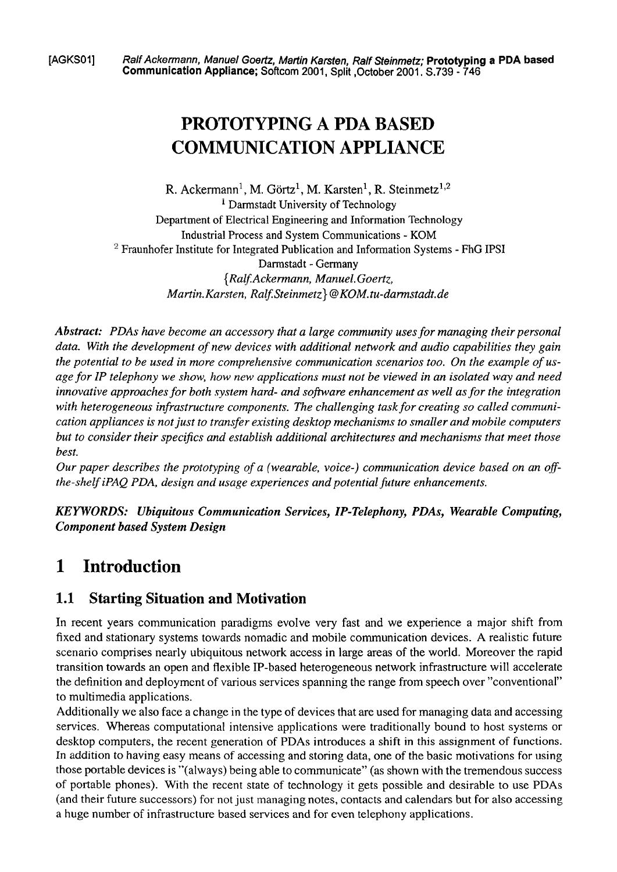**[AGKSO?] Ralf Ackermann, Manuel Goetiz, Matiin Karsten, Ralf Steinmetz; Prototyping a PDA based Communication Appliance; Softcom 2001, Split ,October 2001. S.739** - **746** 

# **PROTOTYPING A PDA BASED COMMUNICATION APPLIANCE**

R. Ackermann<sup>1</sup>, M. Görtz<sup>1</sup>, M. Karsten<sup>1</sup>, R. Steinmetz<sup>1,2</sup> <sup>1</sup> Darmstadt University of Technology Department of Electrical Engineering and Information Technology Industrial Process and System Communications - KOM <sup>2</sup> Fraunhofer Institute for Integrated Publication and Information Systems - FhG IPSI Darrnstadt - Germany *{RagAckerrnann, Manuel.Goertz, Martin. Karsten, Ralf. Steinmetz* } @ KOM. tu-darmstadt.de

*Abstract: PDAs have become an accessory that a large communiiy uses for managing their personal data. With the development of new devices with additional network und audio capabilities they gain the potential to be used in more comprehensive communication scenarios too. On the example of usage for IP telephony we show, how new applications must not be viewed in an isolated way und need innovative approaches for both system hard- and software enhancement as well as for the integration* with heterogeneous infrastructure components. The challenging task for creating so called communi*cation appliances is not just to transfer existing desktop mechanisms to smaller and mobile computers but to consider their specifics und establish additional architectures und mechanisms that meet those best.* 

*Our paper descnbes the prototyping of a (wearable, voice-) communication device based on an ofthe-shelf iPAQ PDA, design und usage experiences und potential future enhancements.* 

*KEYWORDS: Ubiquitous Communication Services, IP-Telephony, PDAs, Wearable Computing, Component based System Design* 

## **1 Introduction**

### **1.1 Starting Situation and Motivation**

In recent years communication paradigms evolve very fast and we experience a major shift from fixed and stationary systems towards nomadic and mobile communication devices. A realistic future scenario comprises nearly ubiquitous network access in large areas of the world. Moreover the rapid transition towards an Open and flexible IP-based heterogeneous network infrastructure will accelerate the definition and deployment of various services spanning the range from speech over "conventional" to multimedia applications.

Additionally we also face a change in the type of devices that are used for managing data and accessing services. Whereas computational intensive applications were traditionally bound to host systems or desktop computers, the recent generation of PDAs introduces a shift in this assignment of functions. In addition to having easy means of accessing and storing data, one of the basic motivations for using those portable devices is "(always) being able to communicate" (as shown with the tremendous success of portable phones). With the recent state of technology it gets possible and desirable to use PDAs (and their future successors) for not just managing notes, contacts and calendars but for also accessing a huge number of infrastructure based services and for even telephony applications.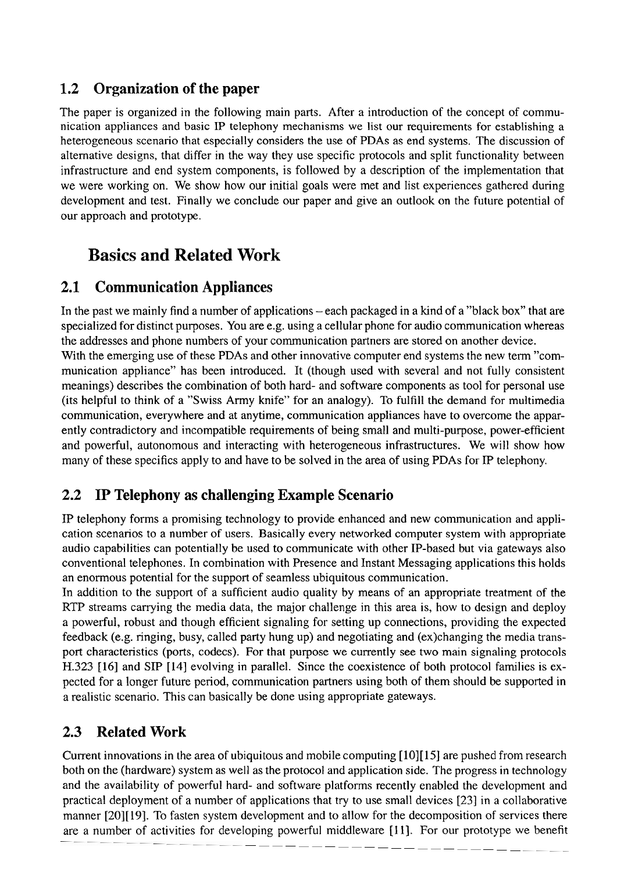#### **1.2 Organization of the paper**

The paper is organized in the following main parts. After a introduction of the concept of communication appliances and basic IP telephony mechanisms we list our requirements for establishing a heterogeneous scenario that especially considers the use of PDAs as end systems. The discussion of alternative designs, that differ in the way they use specific protocols and split functionality between infrastructure and end system components, is followed by a description of the implementation that we were working On. We show how our initial goals were met and list experiences gathered during development and test. Finally we conclude our paper and give an outlook on the future potential of our approach and prototype.

# **Basics and Related Work**

#### **2.1 Communication Appliances**

In the past we mainly find a number of applications – each packaged in a kind of a "black box" that are specialized for distinct purposes. You are e.g. using a cellular phone for audio communication whereas the addresses and phone numbers of your communication partners are stored on another device. With the emerging use of these PDAs and other innovative computer end systems the new term "communication appliance" has been introduced. It (though used with several and not fully consistent meanings) describes the combination of both hard- and software components as tool for personal use (its helpful to think of a "Swiss Army knife" for an analogy). To fulfill the demand for multimedia cornrnunication, everywhere and at anytime, communication appliances have to overcome the apparently contradictory and incompatible requirements of being small and multi-purpose, power-efficient and powerful, autonomous and interacting with heterogeneous infrastructures. We will show how many of these specifics apply to and have to be solved in the area of using PDAs for **P** telephony.

#### **2.2 IP Telephony as challenging Example Scenario**

IP telephony forms a promising technology to provide enhanced and new communication and application scenarios to a number of users. Basically every networked computer system with appropriate audio capabilities can potentially be used to communicate with other IP-based but via gateways also conventional telephones. In combination with Presence and Instant Messaging applications this holds an enormous potential for the support of seamless ubiquitous communication.

In addition to the support of a sufficient audio quality by means of an appropriate treatment of the RTP streams carrying the media data, the major challenge in this area is, how to design and deploy a powerful, robust and though efficient signaling for setting up connections, providing the expected feedback (e.g. ringing, busy, called party hung up) and negotiating and (ex)changing the media transport characteristics (ports, codecs). For that purpose we currently see two main signaling protocols H.323 [16] and SIP [14] evolving in parallel. Since the coexistence of both protocol farnilies is expected for a longer future period, communication partners using both of them should be supported in a realistic scenario. This can basically be done using appropriate gateways.

#### **2.3 Related Work**

Current innovations in the area of ubiquitous and mobile computing [10][15] are pushed from research both on the (hardware) system as well as the protocol and application side. The progress in technology and the availability of powerful hard- and software platforms recently enabled the development and practical deployment of a number of applications that try to use small devices [23] in a collaborative manner [20][19]. To fasten system development and to allow for the decomposition of services there are a number of activities for developing powerful middleware [I 11. For our prototype we benefit --P --P --P --P  $\frac{1}{\cdot}$   $\frac{1}{\cdot}$  $\frac{1}{\alpha}$  $\frac{1}{2}$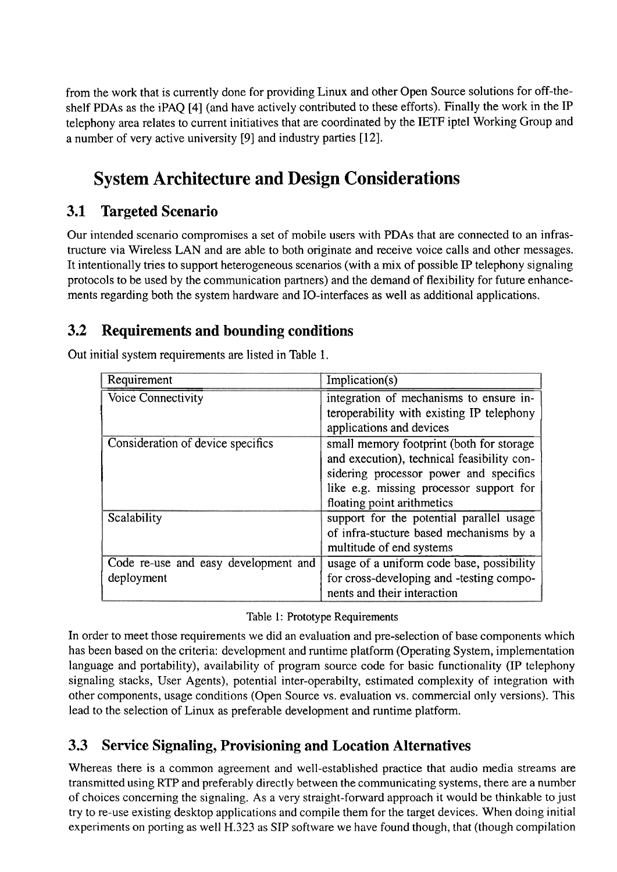from the work that is currently done for providing Linux and other Open Source solutions for off-theshelf PDAs as the iPAQ [4] (and have actively contributed to these efforts). Finally the work in the IP telephony area relates to current initiatives that are coordinated by the IETF iptel Working Group and a number of very active university [9] and industry parties [12].

# **System Architecture and Design Considerations**

#### **3.1 Targeted Scenario**

Our intended scenario compromises a set of mobile users with PDAs that are connected to an infrastructure via Wireless LAN and are able to both originate and receive voice calls and other messages. It intentionally tries to support heterogeneous scenarios (with a mix of possible IP telephony signaling protocols to be used by the communication partners) and the demand of flexibility for future enhancements regarding both the system hardware and IO-interfaces as well as additional applications.

#### **3.2 Requirements and bounding conditions**

| Requirement                          | Implication(s)                             |
|--------------------------------------|--------------------------------------------|
| Voice Connectivity                   | integration of mechanisms to ensure in-    |
|                                      | teroperability with existing IP telephony  |
|                                      | applications and devices                   |
| Consideration of device specifics    | small memory footprint (both for storage   |
|                                      | and execution), technical feasibility con- |
|                                      | sidering processor power and specifics     |
|                                      | like e.g. missing processor support for    |
|                                      | floating point arithmetics                 |
| Scalability                          | support for the potential parallel usage   |
|                                      | of infra-stucture based mechanisms by a    |
|                                      | multitude of end systems                   |
| Code re-use and easy development and | usage of a uniform code base, possibility  |
| deployment                           | for cross-developing and -testing compo-   |
|                                      | nents and their interaction                |

Out initial system requirements are listed in Table 1.

| Table 1: Prototype Requirements |  |  |  |
|---------------------------------|--|--|--|
|---------------------------------|--|--|--|

In order to meet those requirements we did an evaluation and pre-selection of base components which has been based on the criteria: development and runtime platform (Operating System, implementation language and portability), availability of program source code for basic functionality (IP telephony signaling stacks, User Agents), potential inter-operabilty, estimated complexity of integration with other components, usage conditions (Open Source vs. evaluation vs. comrnercial only versions). This lead to the selection of Linux as preferable development and runtime platform.

#### **3.3 Service Signaling, Provisioning and Location Alternatives**

Whereas there is a common agreement and well-established practice that audio media streams are transrnitted using RTP and preferably directly between the communicating systems, there are a number of choices concerning the signaling. As a very straight-fonvard approach it would be thinkable to just try to re-use existing desktop applications and compile them for the target devices. When doing initial experiments on porting as well H.323 as SIP software we have found though, that (though compilation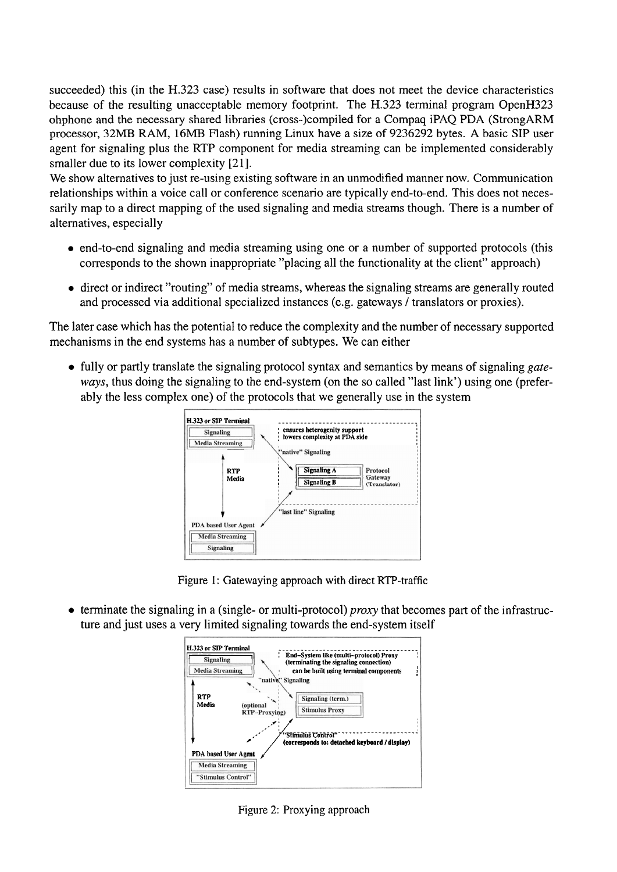succeeded) this (in the H.323 case) results in software that does not meet the device characteristics because of the resulting unacceptable memory footprint. The H.323 terminal program OpenH323 ohphone and the necessary shared libraries (cross-)compiled for a Compaq iPAQ PDA (StrongARM processor, 32MB RAM, 16MB Flash) running Linux have a size of 9236292 bytes. A basic SIP User agent for signaling plus the RTP component for media streaming can be implemented considerably smaller due to its lower complexity [21].

We show alternatives to just re-using existing software in an unmodified manner now. Communication relationships within a voice call or conference scenario are typically end-to-end. This does not necessarily map to a direct mapping of the used signaling and media streams though. There is a number of alternatives, especially

- end-to-end signaling and media strearning using one or a number of supported protocols (this corresponds to the shown inappropriate "placing all the functionality at the client" approach)
- direct or indirect "routing" of media streams, whereas the signaling streams are generally routed and processed via additional specialized instances (e.g. gateways / translators or proxies).

The later case which has the potential to reduce the complexity and the number of necessary supported mechanisms in the end Systems has a number of subtypes. We can either

• fully or partly translate the signaling protocol syntax and semantics by means of signaling gateways, thus doing the signaling to the end-system (on the so called "last link") using one (preferably the less complex one) of the protocols that we generally use in the System



Figure 1: Gatewaying approach with direct RTP-traffic

• terminate the signaling in a (single- or multi-protocol) *proxy* that becomes part of the infrastructure and just uses a very limited signaling towards the end-system itself



Figure 2: Proxying approach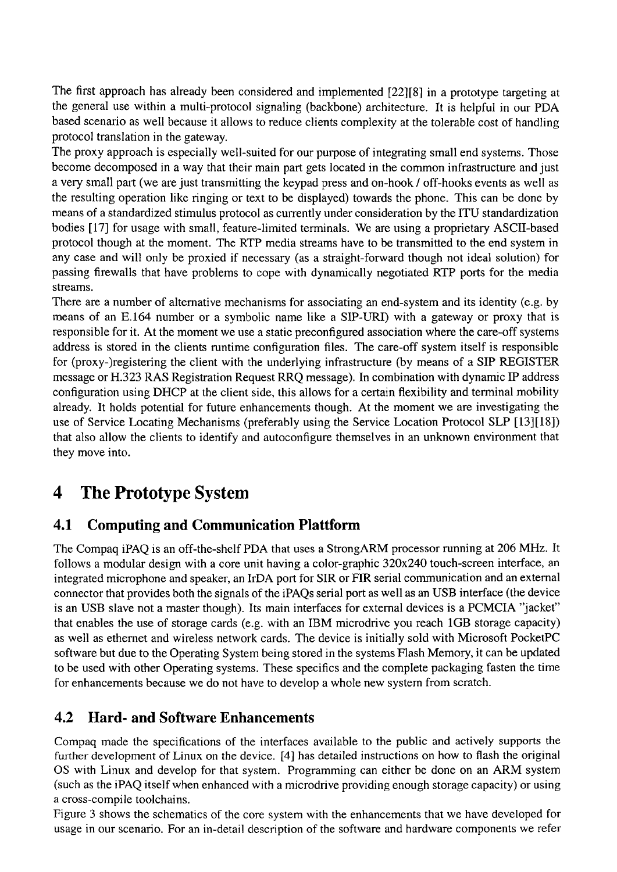The first approach has already been considered and implemented [22][8] in a prototype targeting at the general use within a multi-protocol signaling (backbone) architecture. It is helpful in our PDA based scenario as well because it allows to reduce clients complexity at the tolerable cost of handling protocol translation in the gateway.

The proxy approach is especially well-suited for our purpose of integrating small end systems. Those become decomposed in a way that their main part gets located in the common infrastructure and just a very small Part (we are just transrnitting the keypad press and on-hook / off-hooks events as well as the resulting operation like ringing or text to be displayed) towards the phone. This can be done by means of a standardized stimulus protocol as currently under consideration by the ITU standardization bodies [17] for usage with small, feature-limited terminals. We are using a proprietary ASCII-based protocol though at the moment. The RTP media streams have to be transmitted to the end system in any case and will only be proxied if necessary (as a straight-fonvard though not ideal Solution) for passing firewalls that have problems to cope with dynamically negotiated RTP ports for the media streams.

There are a number of alternative mechanisms for associating an end-system and its identity (e.g. by means of an E.164 number or a symbolic name like a SIP-URI) with a gateway or proxy that is responsible for it. At the moment we use a static preconfigured association where the care-off systems address is stored in the clients runtime configuration files. The care-off system itself is responsible for (proxy-)registering the client with the underlying infrastructure (by means of a SIP REGISTER message or H.323 RAS Registration Request RRQ message). In combination with dynamic IP address configuration using DHCP at the client side, this allows for a certain flexibility and terminal mobility already. It holds potential for future enhancements though. At the moment we are investigating the use of Service Locating Mechanisms (preferably using the Service Location Protocol SLP [13][18]) that also allow the clients to identify and autoconfigure themselves in an unknown environment that they move into.

# **4 The Prototype System**

#### **4.1 Computing and Communication Plattform**

The Compaq iPAQ is an off-the-shelf PDA that uses a StrongARM processor running at 206 MHz. It follows a modular design with a core unit having a color-graphic 320x240 touch-screen interface, an integrated microphone and speaker, an IrDA port for SIR or FIR serial communication and an external connector that provides both the signals of the iPAQs serial port as well as an USB interface (the device is an USB slave not a master though). Its main interfaces for external devices is a PCMCIA "jacket" that enables the use of storage cards (e.g. with an IBM microdrive you reach 1GB storage capacity) as well as ethernet and wireless network cards. The device is initially sold with Microsoft PocketPC software but due to the Operating System being stored in the systems Flash Memory, it can be updated to be used with other Operating systems. These specifics and the complete packaging fasten the time for enhancements because we do not have to develop a whole new system from scratch.

#### **4.2 Hard- and Software Enhancements**

Compaq made the specifications of the interfaces available to the public and actively supports the further development of Linux on the device. [4] has detailed instructions on how to flash the original OS with Linux and develop for that system. Programming can either be done on an ARM system (such as the iPAQ itself when enhanced with a microdrive providing enough storage capacity) or using a cross-compile toolchains.

Figure 3 shows the schematics of the core system with the enhancements that we have developed for usage in our scenario. For an in-detail description of the software and hardware components we refer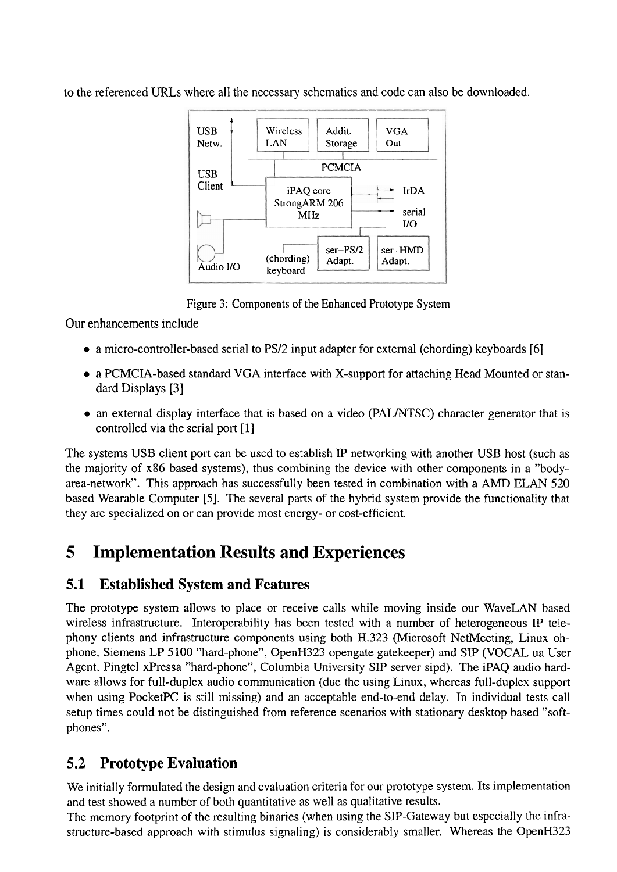to the referenced URLs where all the necessary schematics and code can also be downloaded.



Figure **3:** Components of the Enhanced Prototype System

Our enhancements include

- a micro-controller-based serial to PS/2 input adapter for external (chording) keyboards [6]
- a PCMCIA-based standard VGA interface with X-support for attaching Head Mounted or standard Displays [3]
- an external display interface that is based on a video (PAL/NTSC) character generator that is controlled via the serial port [I]

The systems USB client port can be used to establish IP networking with another USB host (such as the majority of x86 based systems), thus combining the device with other components in a "bodyarea-network". This approach has successfully been tested in combination with a **AMD** ELAN 520 based Wearable Computer *[5].* The several parts of the hybrid system provide the functionality that they are specialized on or can provide most energy- or cost-efficient.

## **5 Implementation Results and Experiences**

#### **5.1 Established System and Features**

The prototype system allows to place or receive calls while moving inside our WaveLAN based wireless infrastructure. Interoperability has been tested with a number of heterogeneous IP telephony clients and infrastructure components using both H.323 (Microsoft NetMeeting, Linux ohphone, Siemens LP 5100 "hard-phone", OpenH323 opengate gatekeeper) and SIP (VOCAL ua User Agent, Pingtel xPressa "hard-phone", Columbia University SIP Server sipd). The iPAQ audio hardware allows for full-duplex audio communication (due the using Linux, whereas full-duplex support when using PocketPC is still missing) and an acceptable end-to-end delay. In individual tests call setup times could not be distinguished from reference scenarios with stationary desktop based "softphones".

#### **5.2 Prototype Evaluation**

We initially formulated the design and evaluation criteria for our prototype system. Its implementation and test showed a number of both quantitative as well as qualitative results.

The memory footprint of the resulting binaries (when using the SIP-Gateway but especially the infrastructure-based approach with stimulus signaling) is considerably smaller. Whereas the OpenH323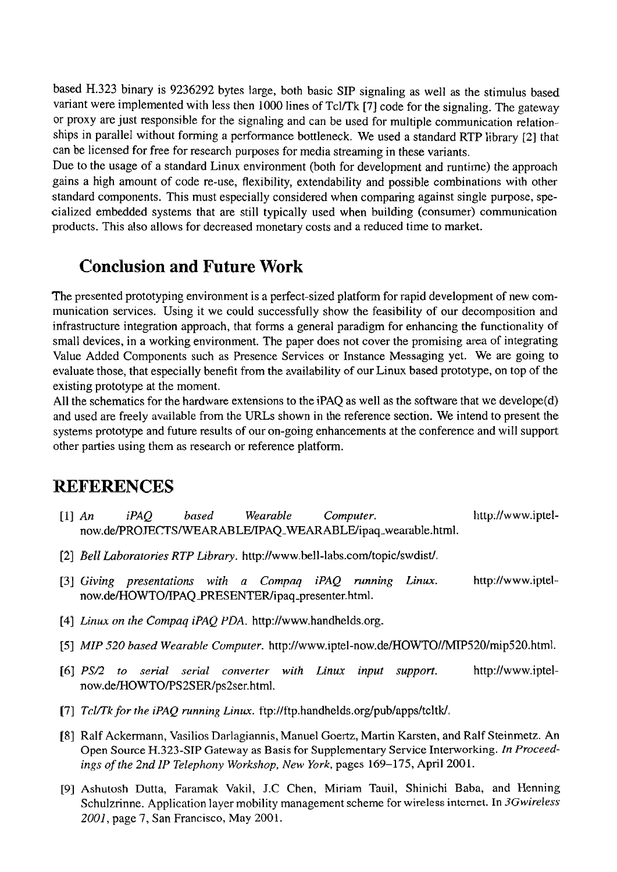based H.323 binary is 9236292 bytes large, both basic SIP signaling as well as the stimulus based variant were implemented with less then 1000 lines of Tcl/Tk [7] code for the signaling. The gateway or proxy are just responsible for the signaling and can be used for multiple communication relationships in parallel without forrning a performance bottleneck. We used a standard RTP library [2] that can be licensed for free for research purposes for media streaming in these variants.

Due to the usage of a standard Linux environment (both for development and runtime) the approach gains a high amount of code re-use, flexibility, extendability and possible combinations with other standard components. This must especially considered when comparing against single purpose, specialized embedded systems that are still typically used when building (consumer) communication products. This also allows for decreased monetary costs and a reduced time to market.

## **Conclusion and Future Work**

The presented prototyping environment is a perfect-sized platform for rapid development of new communication services. Using it we could successfully show the feasibility of our decomposition and infrastructure integration approach, that forms a general paradigm for enhancing the functionality of small devices, in a working environment. The paper does not Cover the promising area of integrating Value Added Components such as Presence Services or Instance Messaging yet. We are going to evaluate those, that especially benefit from the availability of our Linux based prototype, on top of the existing prototype at the moment.

All the schematics for the hardware extensions to the iPAQ as well as the software that we develope(d) and used are freely available from the URLs shown in the reference section. We intend to present the systems prototype and future results of our on-going enhancements at the conference and will support other parties using them as research or reference platform.

## **REFERENCES**

- 111 *An iPAQ based Wearable Computer.* http://www.iptel**now.de/PROJECTS/WEARABLE/IPAQ-WEARABLE/ipaq-wearable.html.**
- *[2] Bell Lahoratories RTP Library.* **http://www.bell-labs.com/topic/swdist/.**
- [3] *Giving presentations with a Compaq iPAQ running Linux.* http://www.iptel**now.de/HOWTOlTPAQSRESENTER/ipaq-presenter.** html.
- [4] *Linux on the Compaq iPAQ PDA.* http://www.handhelds.org.
- [5] MIP 520 based Wearable Computer. http://www.iptel-now.de/HOWTO//MIP520/mip520.html.
- *[6] PS/2 to serial serial converter with Linux input support.* http://www.iptel**now.de/HOWTO/PS2SER/ps2ser.** htrnl.
- [7] *Tcl/Tk for the iPAQ running Linux. ftp://ftp.handhelds.org/pub/apps/tcltk/.*
- [8] Ralf Ackermann, Vasilios Darlagiannis, Manuel Goertz, Martin Karsten, and Ralf Steinmetz. An Open Source H.323-SIP **Gateway** as Basis for Supplementary Service Intenvorking. In *Proceedings of the 2nd IP Telephony Workshop, New York,* pages *169-175,* April 2001.
- [9] Ashutosh Dutta, Faramak Vakil, J.C Chen, Miriam Tauil, Shinichi Baba, and Henning Schulzrinne. Application layer mobility management scheme for wireless intemet. In *3Gwireless*  2001, Page *7,* San Francisco, May 200 1.